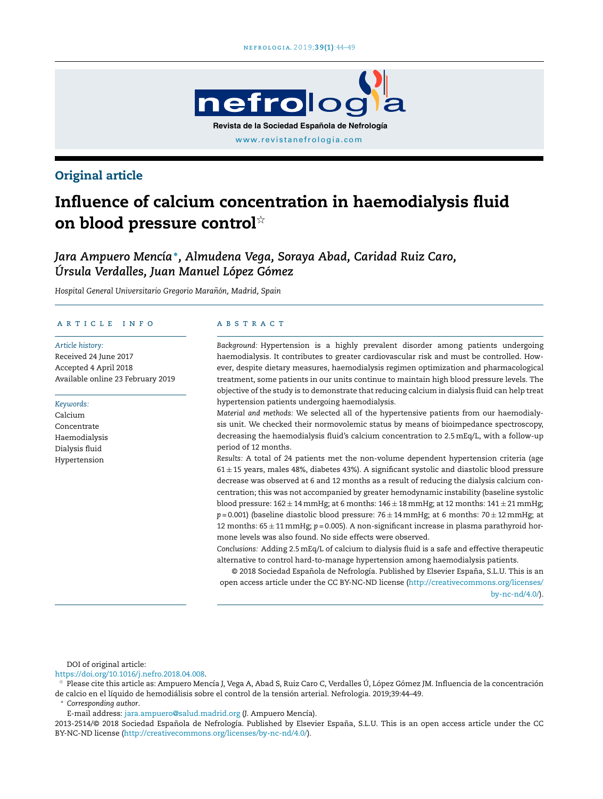

# Original article

# Influence of calcium concentration in haemodialysis fluid on blood pressure control $^{\scriptscriptstyle\mathrm{\star\star}}$

*Jara Ampuero Mencía*<sup>∗</sup> *, Almudena Vega, Soraya Abad, Caridad Ruiz Caro, Úrsula Verdalles, Juan Manuel López Gómez*

*Hospital General Universitario Gregorio Maranón, ˜ Madrid, Spain*

# a r t i c l e i n f o

#### *Article history:*

Received 24 June 2017 Accepted 4 April 2018 Available online 23 February 2019

#### *Keywords:*

Calcium Concentrate Haemodialysis Dialysis fluid Hypertension

#### A B S T R A C T

*Background:* Hypertension is a highly prevalent disorder among patients undergoing haemodialysis. It contributes to greater cardiovascular risk and must be controlled. However, despite dietary measures, haemodialysis regimen optimization and pharmacological treatment, some patients in our units continue to maintain high blood pressure levels. The objective of the study is to demonstrate that reducing calcium in dialysis fluid can help treat hypertension patients undergoing haemodialysis.

*Material and methods:* We selected all of the hypertensive patients from our haemodialysis unit. We checked their normovolemic status by means of bioimpedance spectroscopy, decreasing the haemodialysis fluid's calcium concentration to 2.5mEq/L, with a follow-up period of 12 months.

*Results:* A total of 24 patients met the non-volume dependent hypertension criteria (age  $61 \pm 15$  years, males 48%, diabetes 43%). A significant systolic and diastolic blood pressure decrease was observed at 6 and 12 months as a result of reducing the dialysis calcium concentration; this was not accompanied by greater hemodynamic instability (baseline systolic blood pressure:  $162 \pm 14$  mmHg; at 6 months:  $146 \pm 18$  mmHg; at 12 months:  $141 \pm 21$  mmHg;  $p = 0.001$ ) (baseline diastolic blood pressure:  $76 \pm 14$  mmHg; at 6 months:  $70 \pm 12$  mmHg; at 12 months: 65 ± 11mmHg; *p* = 0.005). A non-significant increase in plasma parathyroid hormone levels was also found. No side effects were observed.

*Conclusions:* Adding 2.5mEq/L of calcium to dialysis fluid is a safe and effective therapeutic alternative to control hard-to-manage hypertension among haemodialysis patients.

© 2018 Sociedad Española de Nefrología. Published by Elsevier España, S.L.U. This is an open access article under the CC BY-NC-ND license ([http://creativecommons.org/licenses/](http://creativecommons.org/licenses/by-nc-nd/4.0/) [by-nc-nd/4.0/](http://creativecommons.org/licenses/by-nc-nd/4.0/)).

DOI of original article:

<https://doi.org/10.1016/j.nefro.2018.04.008>.

 $\frac{1}{24}$  Please cite this article as: Ampuero Mencía J, Vega A, Abad S, Ruiz Caro C, Verdalles Ú, López Gómez JM. Influencia de la concentración de calcio en el líquido de hemodiálisis sobre el control de la tensión arterial. Nefrologia. 2019;39:44–49.

<sup>∗</sup> *Corresponding author*.

E-mail address: [jara.ampuero@salud.madrid.org](mailto:jara.ampuero@salud.madrid.org) (J. Ampuero Mencía).

2013-2514/© 2018 Sociedad Española de Nefrología. Published by Elsevier España, S.L.U. This is an open access article under the CC BY-NC-ND license [\(http://creativecommons.org/licenses/by-nc-nd/4.0/](http://creativecommons.org/licenses/by-nc-nd/4.0/)).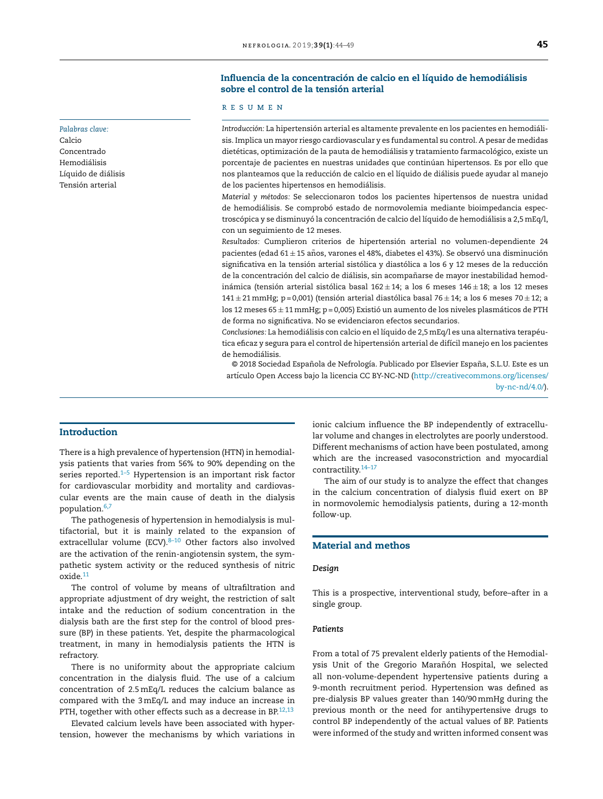# Influencia de la concentración de calcio en el líquido de hemodiálisis sobre el control de la tensión arterial

# r e s u m e n

*Introducción:* La hipertensión arterial es altamente prevalente en los pacientes en hemodiálisis. Implica un mayor riesgo cardiovascular y es fundamental su control. A pesar de medidas dietéticas, optimización de la pauta de hemodiálisis y tratamiento farmacológico, existe un porcentaje de pacientes en nuestras unidades que continúan hipertensos. Es por ello que nos planteamos que la reducción de calcio en el líquido de diálisis puede ayudar al manejo de los pacientes hipertensos en hemodiálisis.

*Material y métodos:* Se seleccionaron todos los pacientes hipertensos de nuestra unidad de hemodiálisis. Se comprobó estado de normovolemia mediante bioimpedancia espectroscópica y se disminuyó la concentración de calcio del líquido de hemodiálisis a 2,5mEq/l, con un seguimiento de 12 meses.

*Resultados:* Cumplieron criterios de hipertensión arterial no volumen-dependiente 24 pacientes (edad 61 ± 15 años, varones el 48%, diabetes el 43%). Se observó una disminución significativa en la tensión arterial sistólica y diastólica a los 6 y 12 meses de la reducción de la concentración del calcio de diálisis, sin acompañarse de mayor inestabilidad hemodinámica (tensión arterial sistólica basal 162 $\pm$ 14; a los 6 meses 146 $\pm$ 18; a los 12 meses 141 ± 21 mmHg; p = 0,001) (tensión arterial diastólica basal 76 ± 14; a los 6 meses 70 ± 12; a los 12 meses  $65 \pm 11$  mmHg; p = 0,005) Existió un aumento de los niveles plasmáticos de PTH de forma no significativa. No se evidenciaron efectos secundarios.

*Conclusiones:* La hemodiálisis con calcio en el líquido de 2,5mEq/l es una alternativa terapéutica eficaz y segura para el control de hipertensión arterial de difícil manejo en los pacientes de hemodiálisis.

© 2018 Sociedad Española de Nefrología. Publicado por Elsevier España, S.L.U. Este es un artículo Open Access bajo la licencia CC BY-NC-ND ([http://creativecommons.org/licenses/](http://creativecommons.org/licenses/by-nc-nd/4.0/) [by-nc-nd/4.0/](http://creativecommons.org/licenses/by-nc-nd/4.0/)).

# Introduction

There is a high prevalence of hypertension (HTN) in hemodialysis patients that varies from 56% to 90% depending on the series reported. $1-5$  Hypertension is an important risk factor for cardiovascular morbidity and mortality and cardiovascular events are the main cause of death in the dialysis population.[6,7](#page-5-0)

The pathogenesis of hypertension in hemodialysis is multifactorial, but it is mainly related to the expansion of extracellular volume (ECV). $8-10$  Other factors also involved are the activation of the renin-angiotensin system, the sympathetic system activity or the reduced synthesis of nitric oxide.[11](#page-5-0)

The control of volume by means of ultrafiltration and appropriate adjustment of dry weight, the restriction of salt intake and the reduction of sodium concentration in the dialysis bath are the first step for the control of blood pressure (BP) in these patients. Yet, despite the pharmacological treatment, in many in hemodialysis patients the HTN is refractory.

There is no uniformity about the appropriate calcium concentration in the dialysis fluid. The use of a calcium concentration of 2.5mEq/L reduces the calcium balance as compared with the 3mEq/L and may induce an increase in PTH, together with other effects such as a decrease in BP.<sup>[12,13](#page-5-0)</sup>

Elevated calcium levels have been associated with hypertension, however the mechanisms by which variations in ionic calcium influence the BP independently of extracellular volume and changes in electrolytes are poorly understood. Different mechanisms of action have been postulated, among which are the increased vasoconstriction and myocardial contractility.[14–17](#page-5-0)

The aim of our study is to analyze the effect that changes in the calcium concentration of dialysis fluid exert on BP in normovolemic hemodialysis patients, during a 12-month follow-up.

# Material and methos

#### *Design*

This is a prospective, interventional study, before–after in a single group.

# *Patients*

From a total of 75 prevalent elderly patients of the Hemodialysis Unit of the Gregorio Marañón Hospital, we selected all non-volume-dependent hypertensive patients during a 9-month recruitment period. Hypertension was defined as pre-dialysis BP values greater than 140/90mmHg during the previous month or the need for antihypertensive drugs to control BP independently of the actual values of BP. Patients were informed of the study and written informed consent was

# *Palabras clave:*

Calcio Concentrado Hemodiálisis Líquido de diálisis Tensión arterial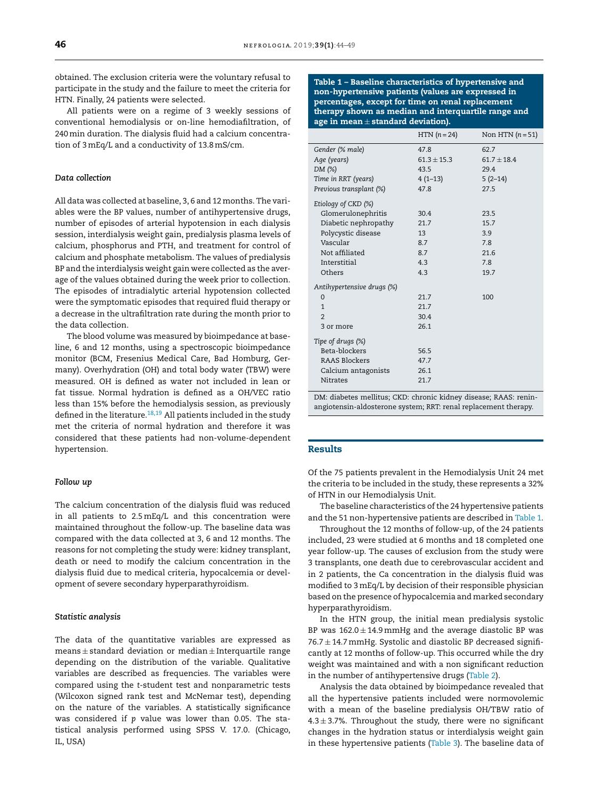obtained. The exclusion criteria were the voluntary refusal to participate in the study and the failure to meet the criteria for HTN. Finally, 24 patients were selected.

All patients were on a regime of 3 weekly sessions of conventional hemodialysis or on-line hemodiafiltration, of 240min duration. The dialysis fluid had a calcium concentration of 3 mEq/L and a conductivity of 13.8mS/cm.

#### *Data collection*

All data was collected at baseline, 3, 6 and 12 months. The variables were the BP values, number of antihypertensive drugs, number of episodes of arterial hypotension in each dialysis session, interdialysis weight gain, predialysis plasma levels of calcium, phosphorus and PTH, and treatment for control of calcium and phosphate metabolism. The values of predialysis BP and the interdialysis weight gain were collected as the average of the values obtained during the week prior to collection. The episodes of intradialytic arterial hypotension collected were the symptomatic episodes that required fluid therapy or a decrease in the ultrafiltration rate during the month prior to the data collection.

The blood volume was measured by bioimpedance at baseline, 6 and 12 months, using a spectroscopic bioimpedance monitor (BCM, Fresenius Medical Care, Bad Homburg, Germany). Overhydration (OH) and total body water (TBW) were measured. OH is defined as water not included in lean or fat tissue. Normal hydration is defined as a OH/VEC ratio less than 15% before the hemodialysis session, as previously defined in the literature.<sup>[18,19](#page-5-0)</sup> All patients included in the study met the criteria of normal hydration and therefore it was considered that these patients had non-volume-dependent hypertension.

#### *Follow up*

The calcium concentration of the dialysis fluid was reduced in all patients to 2.5mEq/L and this concentration were maintained throughout the follow-up. The baseline data was compared with the data collected at 3, 6 and 12 months. The reasons for not completing the study were: kidney transplant, death or need to modify the calcium concentration in the dialysis fluid due to medical criteria, hypocalcemia or development of severe secondary hyperparathyroidism.

#### *Statistic analysis*

The data of the quantitative variables are expressed as  $means \pm standard$  deviation or median  $\pm$  Interquartile range depending on the distribution of the variable. Qualitative variables are described as frequencies. The variables were compared using the *t*-student test and nonparametric tests (Wilcoxon signed rank test and McNemar test), depending on the nature of the variables. A statistically significance was considered if *p* value was lower than 0.05. The statistical analysis performed using SPSS V. 17.0. (Chicago, IL, USA)

Table 1 – Baseline characteristics of hypertensive and non-hypertensive patients (values are expressed in percentages, except for time on renal replacement therapy shown as median and interquartile range and age in mean  $\pm$  standard deviation).

|                            | $HTN (n = 24)$  | Non HTN $(n=51)$ |
|----------------------------|-----------------|------------------|
| Gender (% male)            | 47.8            | 62.7             |
| Age (years)                | $61.3 \pm 15.3$ | $61.7 \pm 18.4$  |
| DM (%)                     | 43.5            | 29.4             |
| Time in RRT (years)        | $4(1-13)$       | $5(2-14)$        |
| Previous transplant (%)    | 47.8            | 27.5             |
| Etiology of CKD (%)        |                 |                  |
| Glomerulonephritis         | 30.4            | 23.5             |
| Diabetic nephropathy       | 21.7            | 15.7             |
| Polycystic disease         | 13              | 3.9              |
| Vascular                   | 8.7             | 7.8              |
| Not affiliated             | 8.7             | 21.6             |
| Interstitial               | 4.3             | 7.8              |
| Others                     | 4.3             | 19.7             |
| Antihypertensive drugs (%) |                 |                  |
| $\mathbf 0$                | 21.7            | 100              |
| $\mathbf{1}$               | 21.7            |                  |
| $\overline{2}$             | 30.4            |                  |
| 3 or more                  | 26.1            |                  |
| Tipe of drugs (%)          |                 |                  |
| Beta-blockers              | 56.5            |                  |
| <b>RAAS Blockers</b>       | 47.7            |                  |
| Calcium antagonists        | 26.1            |                  |
| <b>Nitrates</b>            | 21.7            |                  |

DM: diabetes mellitus; CKD: chronic kidney disease; RAAS: reninangiotensin-aldosterone system; RRT: renal replacement therapy.

#### Results

Of the 75 patients prevalent in the Hemodialysis Unit 24 met the criteria to be included in the study, these represents a 32% of HTN in our Hemodialysis Unit.

The baseline characteristics of the 24 hypertensive patients and the 51 non-hypertensive patients are described in Table 1.

Throughout the 12 months of follow-up, of the 24 patients included, 23 were studied at 6 months and 18 completed one year follow-up. The causes of exclusion from the study were 3 transplants, one death due to cerebrovascular accident and in 2 patients, the Ca concentration in the dialysis fluid was modified to 3mEq/L by decision of their responsible physician based on the presence of hypocalcemia and marked secondary hyperparathyroidism.

In the HTN group, the initial mean predialysis systolic BP was  $162.0 \pm 14.9$  mmHg and the average diastolic BP was  $76.7 \pm 14.7$  mmHg. Systolic and diastolic BP decreased significantly at 12 months of follow-up. This occurred while the dry weight was maintained and with a non significant reduction in the number of antihypertensive drugs ([Table](#page-3-0) 2).

Analysis the data obtained by bioimpedance revealed that all the hypertensive patients included were normovolemic with a mean of the baseline predialysis OH/TBW ratio of  $4.3 \pm 3.7$ %. Throughout the study, there were no significant changes in the hydration status or interdialysis weight gain in these hypertensive patients ([Table](#page-3-0) 3). The baseline data of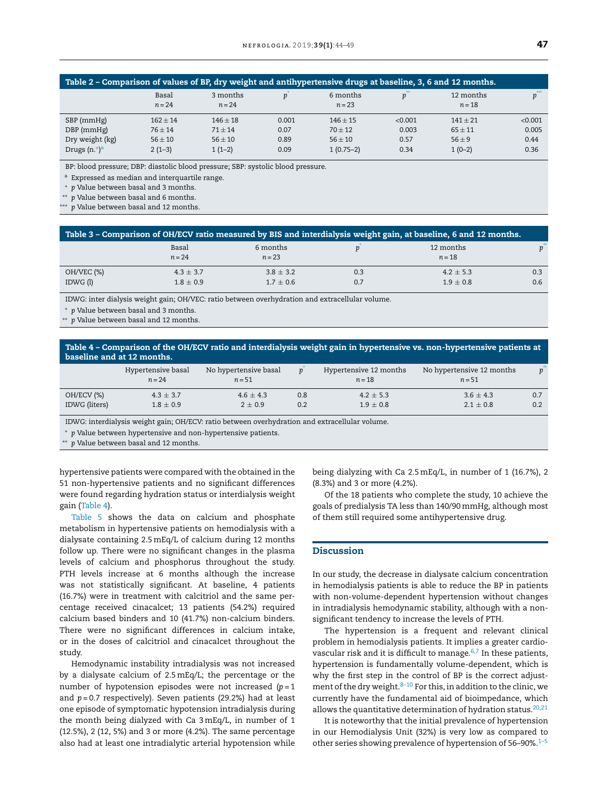<span id="page-3-0"></span>

| Table 2 – Comparison of values of BP, dry weight and antihypertensive drugs at baseline, 3, 6 and 12 months. |                   |                      |       |                      |         |                       |         |
|--------------------------------------------------------------------------------------------------------------|-------------------|----------------------|-------|----------------------|---------|-----------------------|---------|
|                                                                                                              | Basal<br>$n = 24$ | 3 months<br>$n = 24$ | Ď     | 6 months<br>$n = 23$ |         | 12 months<br>$n = 18$ | n       |
| SBP (mmHg)                                                                                                   | $162 \pm 14$      | $146 + 18$           | 0.001 | $146 + 15$           | < 0.001 | $141 \pm 21$          | < 0.001 |
| $DBP$ (mmHg)                                                                                                 | $76 + 14$         | $71 + 14$            | 0.07  | $70 + 12$            | 0.003   | $65 + 11$             | 0.005   |
| Dry weight (kg)                                                                                              | $56 \pm 10$       | $56 \pm 10$          | 0.89  | $56 \pm 10$          | 0.57    | $56 + 9$              | 0.44    |
| Drugs $(n.°)^a$                                                                                              | $2(1-3)$          | $1(1-2)$             | 0.09  | $1(0.75-2)$          | 0.34    | $1(0-2)$              | 0.36    |

BP: blood pressure; DBP: diastolic blood pressure; SBP: systolic blood pressure.

a Expressed as median and interquartile range.

<sup>∗</sup> *p* Value between basal and 3 months.

∗∗ *p* Value between basal and 6 months.

∗∗∗ *p* Value between basal and 12 months.

| ' Table 3 – Comparison of OH/ECV ratio measured by BIS and interdialysis weight gain, at baseline, 6 and 12 months. , |                                |                                |            |                              |            |  |
|-----------------------------------------------------------------------------------------------------------------------|--------------------------------|--------------------------------|------------|------------------------------|------------|--|
|                                                                                                                       | Basal<br>$n = 24$              | 6 months<br>$n = 23$           |            | 12 months<br>$n = 18$        |            |  |
| OH/VEC (%)<br>IDWG(1)                                                                                                 | $4.3 \pm 3.7$<br>$1.8 \pm 0.9$ | $3.8 \pm 3.2$<br>$1.7 \pm 0.6$ | 0.3<br>0.7 | $4.2 \pm 5.3$<br>$1.9 + 0.8$ | 0.3<br>0.6 |  |
|                                                                                                                       |                                |                                |            |                              |            |  |

IDWG: inter dialysis weight gain; OH/VEC: ratio between overhydration and extracellular volume.

<sup>∗</sup> *p* Value between basal and 3 months.

p Value between basal and 12 months.

Table 4 – Comparison of the OH/ECV ratio and interdialysis weight gain in hypertensive vs. non-hypertensive patients at baseline and at 12 months.

|               | Hypertensive basal<br>$n = 24$ | No hypertensive basal<br>$n = 51$ |     | Hypertensive 12 months<br>$n = 18$ | No hypertensive 12 months<br>$n = 51$ | $p^{\dagger}$ |
|---------------|--------------------------------|-----------------------------------|-----|------------------------------------|---------------------------------------|---------------|
| OH/ECV (%)    | $4.3 \pm 3.7$                  | $4.6 + 4.3$                       | 0.8 | $4.2 \pm 5.3$                      | $3.6 \pm 4.3$                         | 0.7           |
| IDWG (liters) | $1.8 \pm 0.9$                  | $2 + 0.9$                         | 0.2 | $1.9 \pm 0.8$                      | $2.1 + 0.8$                           | 0.2           |
|               |                                |                                   |     |                                    |                                       |               |

IDWG: interdialysis weight gain; OH/ECV: ratio between overhydration and extracellular volume.

<sup>∗</sup> *p* Value between hypertensive and non-hypertensive patients.

∗∗ *p* Value between basal and 12 months.

hypertensive patients were compared with the obtained in the 51 non-hypertensive patients and no significant differences were found regarding hydration status or interdialysis weight gain (Table 4).

[Table](#page-4-0) 5 shows the data on calcium and phosphate metabolism in hypertensive patients on hemodialysis with a dialysate containing 2.5mEq/L of calcium during 12 months follow up. There were no significant changes in the plasma levels of calcium and phosphorus throughout the study. PTH levels increase at 6 months although the increase was not statistically significant. At baseline, 4 patients (16.7%) were in treatment with calcitriol and the same percentage received cinacalcet; 13 patients (54.2%) required calcium based binders and 10 (41.7%) non-calcium binders. There were no significant differences in calcium intake, or in the doses of calcitriol and cinacalcet throughout the study.

Hemodynamic instability intradialysis was not increased by a dialysate calcium of 2.5mEq/L; the percentage or the number of hypotension episodes were not increased (*p* = 1 and *p* = 0.7 respectively). Seven patients (29.2%) had at least one episode of symptomatic hypotension intradialysis during the month being dialyzed with Ca 3mEq/L, in number of 1 (12.5%), 2 (12, 5%) and 3 or more (4.2%). The same percentage also had at least one intradialytic arterial hypotension while

being dialyzing with Ca 2.5mEq/L, in number of 1 (16.7%), 2 (8.3%) and 3 or more (4.2%).

Of the 18 patients who complete the study, 10 achieve the goals of predialysis TA less than 140/90mmHg, although most of them still required some antihypertensive drug.

# Discussion

In our study, the decrease in dialysate calcium concentration in hemodialysis patients is able to reduce the BP in patients with non-volume-dependent hypertension without changes in intradialysis hemodynamic stability, although with a nonsignificant tendency to increase the levels of PTH.

The hypertension is a frequent and relevant clinical problem in hemodialysis patients. It implies a greater cardiovascular risk and it is difficult to manage. $6,7$  In these patients, hypertension is fundamentally volume-dependent, which is why the first step in the control of BP is the correct adjustment of the dry weight. $8-10$  For this, in addition to the clinic, we currently have the fundamental aid of bioimpedance, which allows the quantitative determination of hydration status. $20,21$ 

It is noteworthy that the initial prevalence of hypertension in our Hemodialysis Unit (32%) is very low as compared to other series showing prevalence of hypertension of  $56-90\%$ .<sup>[1–5](#page-5-0)</sup>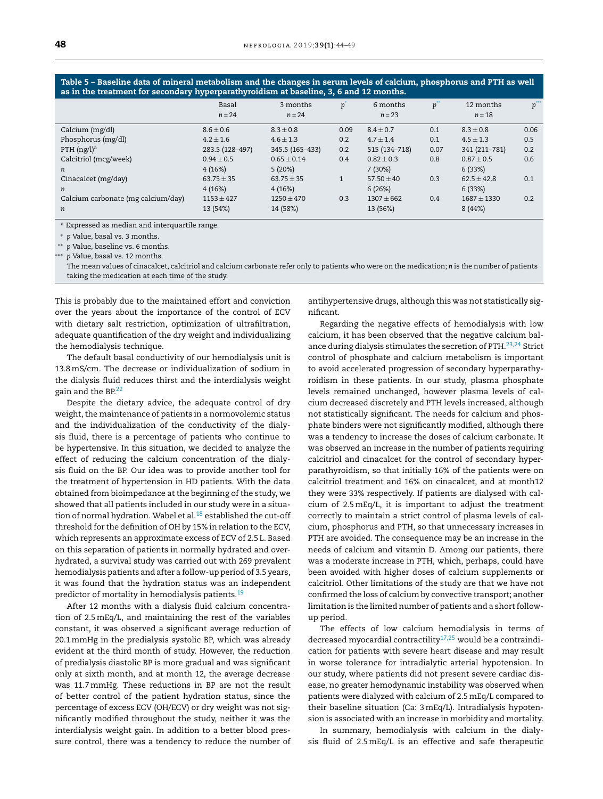Basal 3 months *p*  $6$  months  $p^{\prime\prime}$ 12 months  $p^*$ *n* = 24 *n* = 24 *n* = 23 *n* = 18 Calcium (mg/dl) 8.6  $\pm$  0.6 8.3  $\pm$  0.8 0.09 8.4  $\pm$  0.7 0.1 8.3  $\pm$  0.8 0.06 Phosphorus (mg/dl) 4.2 ± 1.6 4.6 ± 1.3 0.2 4.7 ± 1.4 0.1 4.5 ± 1.3 0.5 PTH (ng/l)<sup>a</sup> 283.5 (128–497) 345.5 (165–433) 0.2 515 (134–718) 0.07 341 (211–781) 0.2 Calcitriol (mcg/week)  $0.94 \pm 0.5$   $0.65 \pm 0.14$   $0.4$   $0.82 \pm 0.3$   $0.8$   $0.87 \pm 0.5$  0.6 *n* 4 (16%) 5 (20%) 7 (30%) 6 (33%) Cinacalcet (mg/day) 63.75  $\pm$  35 63.75  $\pm$  35 63.75  $\pm$  35  $\pm$  57.50  $\pm$  40 63.3 62.5  $\pm$  42.8 6.1 *n* 4 (16%) 4 (16%) 6 (26%) 6 (33%) Calcium carbonate (mg calcium/day)  $1153 \pm 427$   $1250 \pm 470$  0.3  $1307 \pm 662$  0.4  $1687 \pm 1330$  0.2 *n* 13 (54%) 14 (58%) 13 (56%) 8 (44%)

<span id="page-4-0"></span>Table 5 – Baseline data of mineral metabolism and the changes in serum levels of calcium, phosphorus and PTH as well as in the treatment for secondary hyperparathyroidism at baseline, 3, 6 and 12 months.

a Expressed as median and interquartile range.

<sup>∗</sup> *p* Value, basal vs. 3 months.

∗∗ *p* Value, baseline vs. 6 months.

∗∗∗ *p* Value, basal vs. 12 months.

The mean values of cinacalcet, calcitriol and calcium carbonate refer only to patients who were on the medication; *n* is the number of patients taking the medication at each time of the study.

This is probably due to the maintained effort and conviction over the years about the importance of the control of ECV with dietary salt restriction, optimization of ultrafiltration, adequate quantification of the dry weight and individualizing the hemodialysis technique.

The default basal conductivity of our hemodialysis unit is 13.8mS/cm. The decrease or individualization of sodium in the dialysis fluid reduces thirst and the interdialysis weight gain and the BP.<sup>[22](#page-5-0)</sup>

Despite the dietary advice, the adequate control of dry weight, the maintenance of patients in a normovolemic status and the individualization of the conductivity of the dialysis fluid, there is a percentage of patients who continue to be hypertensive. In this situation, we decided to analyze the effect of reducing the calcium concentration of the dialysis fluid on the BP. Our idea was to provide another tool for the treatment of hypertension in HD patients. With the data obtained from bioimpedance at the beginning of the study, we showed that all patients included in our study were in a situation of normal hydration. Wabel et al. $^{18}$  $^{18}$  $^{18}$  established the cut-off threshold for the definition of OH by 15% in relation to the ECV, which represents an approximate excess of ECV of 2.5 L. Based on this separation of patients in normally hydrated and overhydrated, a survival study was carried out with 269 prevalent hemodialysis patients and after a follow-up period of 3.5 years, it was found that the hydration status was an independent predictor of mortality in hemodialysis patients.<sup>[19](#page-5-0)</sup>

After 12 months with a dialysis fluid calcium concentration of 2.5mEq/L, and maintaining the rest of the variables constant, it was observed a significant average reduction of 20.1mmHg in the predialysis systolic BP, which was already evident at the third month of study. However, the reduction of predialysis diastolic BP is more gradual and was significant only at sixth month, and at month 12, the average decrease was 11.7mmHg. These reductions in BP are not the result of better control of the patient hydration status, since the percentage of excess ECV (OH/ECV) or dry weight was not significantly modified throughout the study, neither it was the interdialysis weight gain. In addition to a better blood pressure control, there was a tendency to reduce the number of antihypertensive drugs, although this was not statistically significant.

Regarding the negative effects of hemodialysis with low calcium, it has been observed that the negative calcium bal-ance during dialysis stimulates the secretion of PTH.<sup>[23,24](#page-5-0)</sup> Strict control of phosphate and calcium metabolism is important to avoid accelerated progression of secondary hyperparathyroidism in these patients. In our study, plasma phosphate levels remained unchanged, however plasma levels of calcium decreased discretely and PTH levels increased, although not statistically significant. The needs for calcium and phosphate binders were not significantly modified, although there was a tendency to increase the doses of calcium carbonate. It was observed an increase in the number of patients requiring calcitriol and cinacalcet for the control of secondary hyperparathyroidism, so that initially 16% of the patients were on calcitriol treatment and 16% on cinacalcet, and at month12 they were 33% respectively. If patients are dialysed with calcium of 2.5mEq/L, it is important to adjust the treatment correctly to maintain a strict control of plasma levels of calcium, phosphorus and PTH, so that unnecessary increases in PTH are avoided. The consequence may be an increase in the needs of calcium and vitamin D. Among our patients, there was a moderate increase in PTH, which, perhaps, could have been avoided with higher doses of calcium supplements or calcitriol. Other limitations of the study are that we have not confirmed the loss of calcium by convective transport; another limitation is the limited number of patients and a short followup period.

The effects of low calcium hemodialysis in terms of decreased myocardial contractility $17,25$  would be a contraindication for patients with severe heart disease and may result in worse tolerance for intradialytic arterial hypotension. In our study, where patients did not present severe cardiac disease, no greater hemodynamic instability was observed when patients were dialyzed with calcium of 2.5mEq/L compared to their baseline situation (Ca: 3 mEq/L). Intradialysis hypotension is associated with an increase in morbidity and mortality.

In summary, hemodialysis with calcium in the dialysis fluid of 2.5 mEq/L is an effective and safe therapeutic